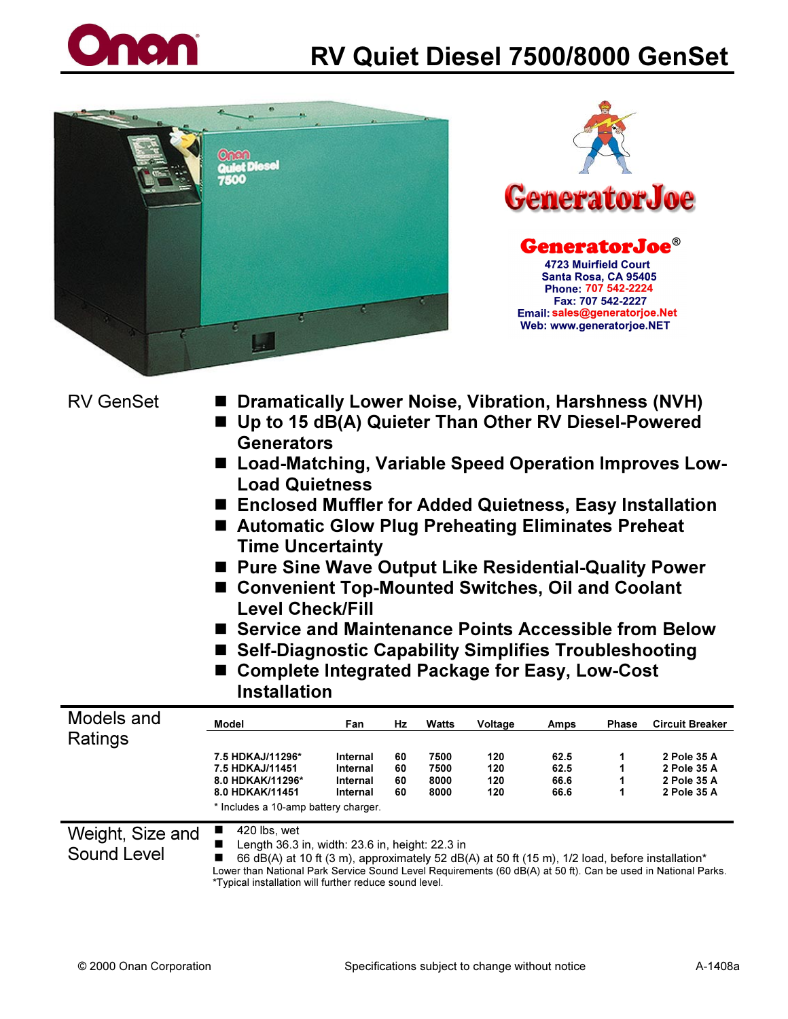





- RV GenSet  **Dramatically Lower Noise, Vibration, Harshness (NVH)** ■ Up to 15 dB(A) Quieter Than Other RV Diesel-Powered
	- **Generators**
	- Load-Matching, Variable Speed Operation Improves Low-Load Quietness
	- Enclosed Muffler for Added Quietness, Easy Installation
	- Automatic Glow Plug Preheating Eliminates Preheat Time Uncertainty
	- Pure Sine Wave Output Like Residential-Quality Power
	- Convenient Top-Mounted Switches, Oil and Coolant Level Check/Fill
	- Service and Maintenance Points Accessible from Below
	- Self-Diagnostic Capability Simplifies Troubleshooting
	- Complete Integrated Package for Easy, Low-Cost **Installation**

| Models and                                                                                                 | Model                                           | Fan      | Hz | <b>Watts</b> | Voltage | Amps | <b>Phase</b> | <b>Circuit Breaker</b> |
|------------------------------------------------------------------------------------------------------------|-------------------------------------------------|----------|----|--------------|---------|------|--------------|------------------------|
| Ratings                                                                                                    |                                                 |          |    |              |         |      |              |                        |
|                                                                                                            | 7.5 HDKAJ/11296*                                | Internal | 60 | 7500         | 120     | 62.5 |              | 2 Pole 35 A            |
|                                                                                                            | 7.5 HDKAJ/11451                                 | Internal | 60 | 7500         | 120     | 62.5 |              | 2 Pole 35 A            |
|                                                                                                            | 8.0 HDKAK/11296*                                | Internal | 60 | 8000         | 120     | 66.6 |              | 2 Pole 35 A            |
|                                                                                                            | 8.0 HDKAK/11451                                 | Internal | 60 | 8000         | 120     | 66.6 |              | 2 Pole 35 A            |
|                                                                                                            | * Includes a 10-amp battery charger.            |          |    |              |         |      |              |                        |
| Weight, Size and                                                                                           | 420 lbs, wet<br>ш                               |          |    |              |         |      |              |                        |
|                                                                                                            | Length 36.3 in, width: 23.6 in, height: 22.3 in |          |    |              |         |      |              |                        |
| Sound Level<br>66 dR(A) at 10 ft (3 m) annovimately 52 dR(A) at 50 ft (15 m) 1/2 load before installation* |                                                 |          |    |              |         |      |              |                        |

-66 dB(A) at 10 ft (3 m), approximately 52 dB(A) at 50 ft (15 m), 1/2 load, before installation\*

Lower than National Park Service Sound Level Requirements (60 dB(A) at 50 ft). Can be used in National Parks. \*Typical installation will further reduce sound level.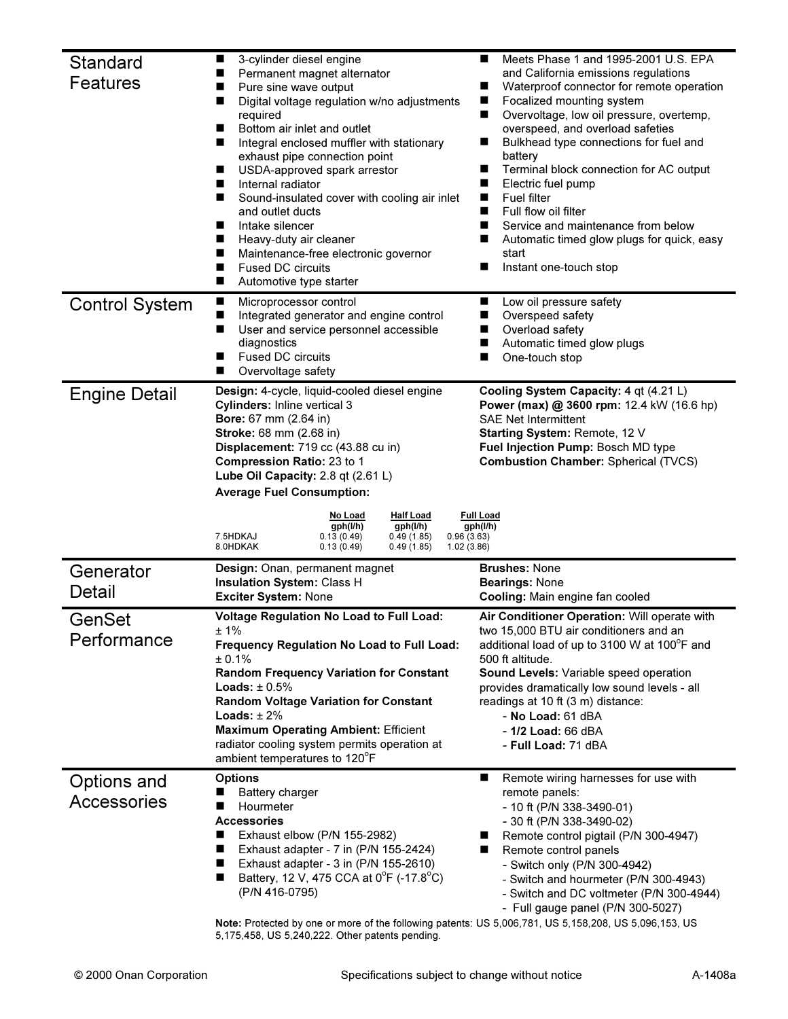| Standard<br>Features              | П<br>3-cylinder diesel engine<br>Permanent magnet alternator<br>■<br>Pure sine wave output<br>ш<br>Digital voltage regulation w/no adjustments<br>ш<br>required<br>Bottom air inlet and outlet<br>П<br>Integral enclosed muffler with stationary<br>■<br>exhaust pipe connection point<br>П<br>USDA-approved spark arrestor<br>■<br>Internal radiator<br>Sound-insulated cover with cooling air inlet<br>and outlet ducts<br>Intake silencer<br>ш<br>П<br>Heavy-duty air cleaner<br>П<br>Maintenance-free electronic governor<br><b>Fused DC circuits</b><br>П<br>■<br>Automotive type starter | Meets Phase 1 and 1995-2001 U.S. EPA<br>■<br>and California emissions regulations<br>Waterproof connector for remote operation<br>■<br>Focalized mounting system<br>■<br>Overvoltage, low oil pressure, overtemp,<br>ш<br>overspeed, and overload safeties<br>Bulkhead type connections for fuel and<br>ш<br>battery<br>Terminal block connection for AC output<br>■<br>Electric fuel pump<br>Fuel filter<br>Full flow oil filter<br>Service and maintenance from below<br>Automatic timed glow plugs for quick, easy<br>start<br>Instant one-touch stop |  |  |  |
|-----------------------------------|------------------------------------------------------------------------------------------------------------------------------------------------------------------------------------------------------------------------------------------------------------------------------------------------------------------------------------------------------------------------------------------------------------------------------------------------------------------------------------------------------------------------------------------------------------------------------------------------|----------------------------------------------------------------------------------------------------------------------------------------------------------------------------------------------------------------------------------------------------------------------------------------------------------------------------------------------------------------------------------------------------------------------------------------------------------------------------------------------------------------------------------------------------------|--|--|--|
| <b>Control System</b>             | п<br>Microprocessor control<br>П<br>Integrated generator and engine control<br>П<br>User and service personnel accessible<br>diagnostics<br><b>Fused DC circuits</b><br>п<br>Overvoltage safety<br>ш                                                                                                                                                                                                                                                                                                                                                                                           | Low oil pressure safety<br>ш<br>Overspeed safety<br>Overload safety<br>Automatic timed glow plugs<br>One-touch stop                                                                                                                                                                                                                                                                                                                                                                                                                                      |  |  |  |
| <b>Engine Detail</b>              | Design: 4-cycle, liquid-cooled diesel engine<br>Cylinders: Inline vertical 3<br>Bore: 67 mm (2.64 in)<br>Stroke: 68 mm (2.68 in)<br>Displacement: 719 cc (43.88 cu in)<br>Compression Ratio: 23 to 1<br>Lube Oil Capacity: 2.8 qt (2.61 L)<br><b>Average Fuel Consumption:</b><br><b>Half Load</b><br>No Load<br>gph(l/h)<br>gph(l/h)<br>7.5HDKAJ<br>0.49(1.85)<br>0.96(3.63)<br>0.13(0.49)<br>8.0HDKAK<br>0.13(0.49)<br>0.49(1.85)<br>1.02(3.86)                                                                                                                                              | Cooling System Capacity: 4 qt (4.21 L)<br>Power (max) @ 3600 rpm: 12.4 kW (16.6 hp)<br><b>SAE Net Intermittent</b><br>Starting System: Remote, 12 V<br>Fuel Injection Pump: Bosch MD type<br><b>Combustion Chamber: Spherical (TVCS)</b><br><b>Full Load</b><br>gph(l/h)                                                                                                                                                                                                                                                                                 |  |  |  |
| Generator<br>Detail               | Design: Onan, permanent magnet<br>Insulation System: Class H<br>Exciter System: None                                                                                                                                                                                                                                                                                                                                                                                                                                                                                                           | <b>Brushes: None</b><br><b>Bearings: None</b><br>Cooling: Main engine fan cooled                                                                                                                                                                                                                                                                                                                                                                                                                                                                         |  |  |  |
| GenSet<br>Performance             | <b>Voltage Regulation No Load to Full Load:</b><br>±1%<br>Frequency Regulation No Load to Full Load:<br>± 0.1%<br><b>Random Frequency Variation for Constant</b><br>Loads: $\pm 0.5\%$<br><b>Random Voltage Variation for Constant</b><br>Loads: $± 2%$<br><b>Maximum Operating Ambient: Efficient</b><br>radiator cooling system permits operation at<br>ambient temperatures to 120°F                                                                                                                                                                                                        | Air Conditioner Operation: Will operate with<br>two 15,000 BTU air conditioners and an<br>additional load of up to 3100 W at 100°F and<br>500 ft altitude.<br>Sound Levels: Variable speed operation<br>provides dramatically low sound levels - all<br>readings at 10 ft (3 m) distance:<br>$-$ No Load: $61$ dBA<br>- 1/2 Load: 66 dBA<br>- Full Load: 71 dBA                                                                                                                                                                                          |  |  |  |
| Options and<br><b>Accessories</b> | <b>Options</b><br><b>Battery charger</b><br>Hourmeter<br><b>Accessories</b><br>Exhaust elbow (P/N 155-2982)<br>ш<br>Exhaust adapter - 7 in (P/N 155-2424)<br>П<br>П<br>Exhaust adapter - 3 in (P/N 155-2610)<br>Battery, 12 V, 475 CCA at 0°F (-17.8°C)<br>ш<br>(P/N 416-0795)                                                                                                                                                                                                                                                                                                                 | Remote wiring harnesses for use with<br>ш<br>remote panels:<br>- 10 ft (P/N 338-3490-01)<br>- 30 ft (P/N 338-3490-02)<br>Remote control pigtail (P/N 300-4947)<br>Remote control panels<br>- Switch only (P/N 300-4942)<br>- Switch and hourmeter (P/N 300-4943)<br>- Switch and DC voltmeter (P/N 300-4944)<br>- Full gauge panel (P/N 300-5027)                                                                                                                                                                                                        |  |  |  |

Note: Protected by one or more of the following patents: US 5,006,781, US 5,158,208, US 5,096,153, US 5,175,458, US 5,240,222. Other patents pending.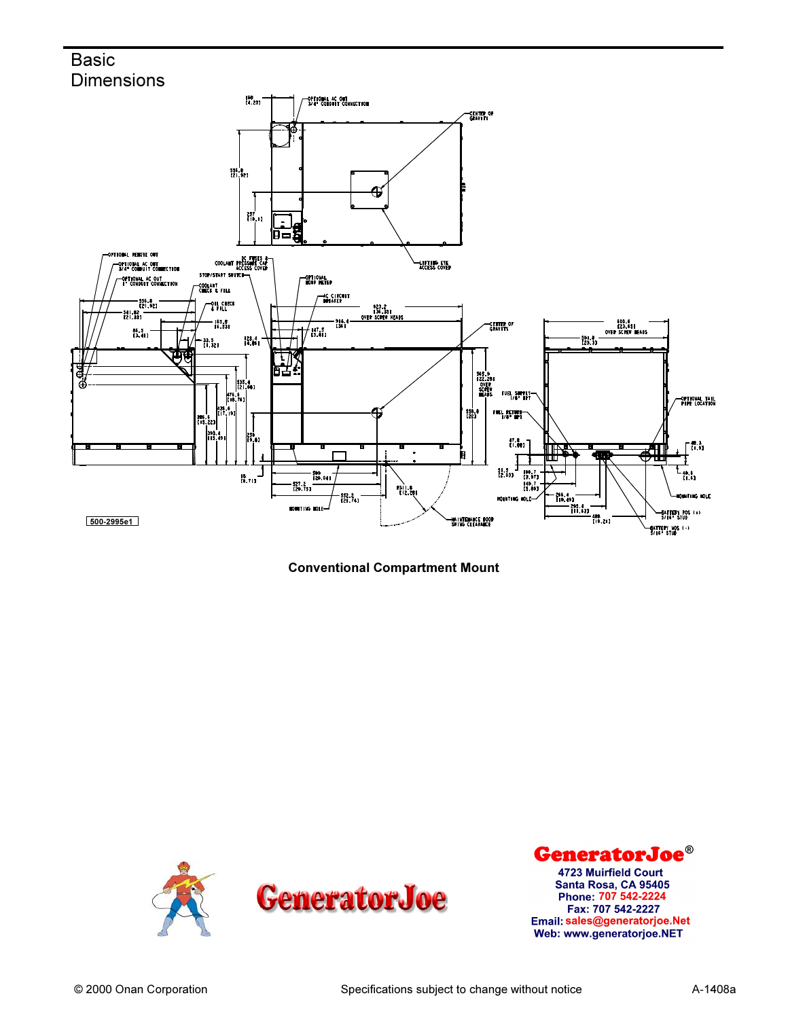## **Basic Dimensions**







GeneratorJoe® 4723 Muirfield Court Santa Rosa, CA 95405 Phone: 707 542-2224 Fax: 707 542-2227 Email: sales@generatorjoe.Net Web: www.generatorjoe.NET